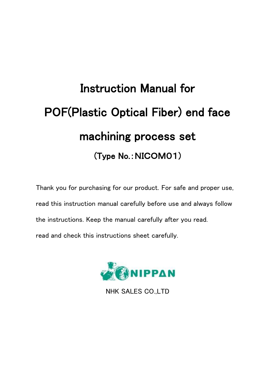# Instruction Manual for POF(Plastic Optical Fiber) end face machining process set (Type No.:NICOM01)

Thank you for purchasing for our product. For safe and proper use, read this instruction manual carefully before use and always follow the instructions. Keep the manual carefully after you read. read and check this instructions sheet carefully.



NHK SALES CO.,LTD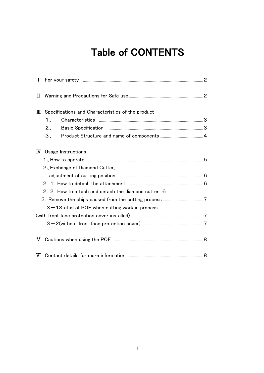## Table of CONTENTS

| I           |                                                    |  |
|-------------|----------------------------------------------------|--|
| П           |                                                    |  |
| Ш           | Specifications and Characteristics of the product  |  |
|             | $\mathbf{1}_{\mathbf{1}}$                          |  |
|             | $2\overline{ }$                                    |  |
|             | З.                                                 |  |
| $\mathbf W$ | Usage Instructions                                 |  |
|             |                                                    |  |
|             | 2, Exchange of Diamond Cutter,                     |  |
|             |                                                    |  |
|             |                                                    |  |
|             | 2. 2 How to attach and detach the diamond cutter 6 |  |
|             |                                                    |  |
|             | 3-1 Status of POF when cutting work in process     |  |
|             |                                                    |  |
|             |                                                    |  |
| V           |                                                    |  |
|             |                                                    |  |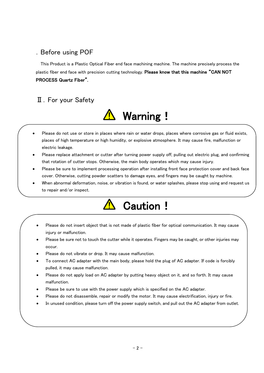#### .Before using POF

This Product is a Plastic Optical Fiber end face machining machine. The machine precisely process the plastic fiber end face with precision cutting technology. Please know that this machine "CAN NOT PROCESS Quartz Fiber".

#### Ⅱ.For your Safety



- Please do not use or store in places where rain or water drops, places where corrosive gas or fluid exists, places of high temperature or high humidity, or explosive atmosphere. It may cause fire, malfunction or electric leakage.
- Please replace attachment or cutter after turning power supply off, pulling out electric plug, and confirming that rotation of cutter stops. Otherwise, the main body operates which may cause injury.
- Please be sure to implement processing operation after installing front face protection cover and back face cover. Otherwise, cutting powder scatters to damage eyes, and fingers may be caught by machine.
- When abnormal deformation, noise, or vibration is found, or water splashes, please stop using and request us to repair and/or inspect.



- Please do not insert object that is not made of plastic fiber for optical communication. It may cause injury or malfunction.
- Please be sure not to touch the cutter while it operates. Fingers may be caught, or other injuries may occur.
- Please do not vibrate or drop. It may cause malfunction.
- To connect AC adapter with the main body, please hold the plug of AC adapter. If code is forcibly pulled, it may cause malfunction.
- Please do not apply load on AC adapter by putting heavy object on it, and so forth. It may cause malfunction.
- Please be sure to use with the power supply which is specified on the AC adapter.
- Please do not disassemble, repair or modify the motor. It may cause electrification, injury or fire.
- In unused condition, please turn off the power supply switch, and pull out the AC adapter from outlet.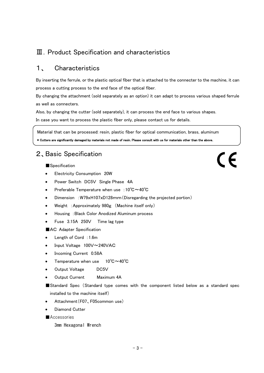#### Ⅲ.Product Specification and characteristics

#### 1、 Characteristics

By inserting the ferrule, or the plastic optical fiber that is attached to the connecter to the machine, it can process a cutting process to the end face of the optical fiber.

By changing the attachment (sold separately as an option) it can adapt to process various shaped ferrule as well as connecters.

Also, by changing the cutter (sold separately), it can process the end face to various shapes.

In case you want to process the plastic fiber only, please contact us for details.

Material that can be processed: resin, plastic fiber for optical communication, brass, aluminum \* Cutters are significantly damaged by materials not made of resin. Please consult with us for materials other than the above.

#### 2、Basic Specification

■Specification

- Electricity Consumption 20W
- Power Switch DC5V Single Phase 4A
- Preferable Temperature when use : 10°C~40°C
- Dimension :W79xH107xD128mm(Disregarding the projected portion)
- Weight :Approximately 980g (Machine itself only)
- Housing :Black Color Anodized Aluminum process
- Fuse 3.15A 250V Time lag type

■AC Adapter Specification

- Length of Cord: 1.6m
- Input Voltage 100V~240VAC
- Incoming Current 0.58A
- Temperature when use 10℃~40℃
- Output Voltage DC5V
- Output Current Maximum 4A
- ■Standard Spec (Standard type comes with the component listed below as a standard spec installed to the machine itself)
- Attachment(F07、F05common use)
- Diamond Cutter
- ■Accessories

3mm Hexagonal Wrench

 $\epsilon$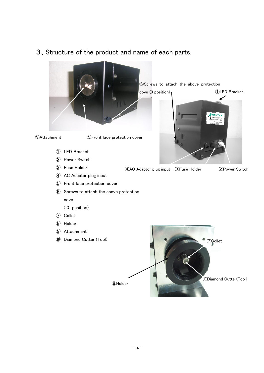

### 3、Structure of the product and name of each parts.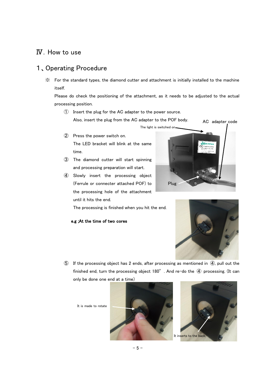#### Ⅳ.How to use

#### 1、Operating Procedure

※ For the standard types, the diamond cutter and attachment is initially installed to the machine itself.

Please do check the positioning of the attachment, as it needs to be adjusted to the actual processing position.

① Insert the plug for the AC adapter to the power source. Also, insert the plug from the AC adapter to the POF body.

The light is switched on.

- ② Press the power switch on. The LED bracket will blink at the same time.
- ③ The diamond cutter will start spinning and processing preparation will start.
- ④ Slowly insert the processing object (Ferrule or connecter attached POF) to the processing hole of the attachment until it hits the end.

The processing is finished when you hit the end.

#### e.g ;At the time of two cores





⑤ If the processing object has 2 ends, after processing as mentioned in ④, pull out the finished end, turn the processing object  $180^\circ$  . And re-do the  $\overline{4}$  processing. (It can only be done one end at a time)

It is made to rotate



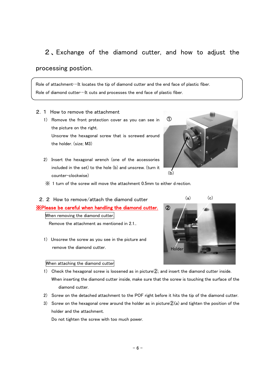### 2 、Exchange of the diamond cutter, and how to adjust the

#### processing postion.

Role of attachment…It locates the tip of diamond cutter and the end face of plastic fiber. Role of diamond cutter…It cuts and processes the end face of plastic fiber.

#### 2.1 How to remove the attachment

- 1) Romove the front protection cover as you can see in the picture on the right. Unscrew the hexagonal screw that is screwed around the holder. (size; M3)
- 2) Insert the hexagonal wrench (one of the accessories included in the set) to the hole (b) and unscrew. (turn it counter-clockwise)



※ 1 turn of the screw will move the attachment 0.5mm to either direction.

#### 2.2 How to remove/attach the diamond cutter

※Please be careful when handling the diamond cutter.

When removing the diamond cutter.

Remove the attachment as mentioned in 2.1..

1) Unscrew the screw as you see in the picture and remove the diamond cutter.

#### When attaching the diamond cutter

Holder ②

 $(a)$   $(c)$ 

- 1) Check the hexagonal screw is loosened as in picture②, and insert the diamond cutter inside. When inserting the diamond cutter inside, make sure that the screw is touching the surface of the diamond cutter.
- 2) Screw on the detached attachment to the POF right before it hits the tip of the diamond cutter.
- 3) Screw on the hexagonal crew around the holder as in picture  $(2)(a)$  and tighten the position of the holder and the attachment.

Do not tighten the screw with too much power.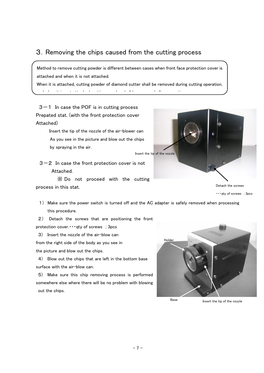#### 3.Removing the chips caused from the cutting process

Method to remove cutting powder is different between cases when front face protection cover is attached and when it is not attached.

When it is attached, cutting powder of diamond cutter shall be removed during cutting operation, and when it is not attached, cutting powder shall be removed after operation.

 $3-1$  In case the POF is in cutting process Prepated stat. (with the front protection cover Attached)

> Insert the tip of the nozzle of the air-blower can As you see in the picture and blow out the chips by spraying in the air.

> > Insert the tip of the nozzle

 $3-2$  In case the front protection cover is not Attached.

※ Do not proceed with the cutting process in this stat.



・・・qty of screws ; 3pcs

- 1) Make sure the power switch is turned off and the AC adapter is safely removed when processing this procedure.
- 2) Detach the screws that are positioning the front protection cover. • • • qty of screws ; 3pcs
- 3) Insert the nozzle of the air-blow can from the right side of the body as you see in the picture and blow out the chips.

4) Blow out the chips that are left in the bottom base surface with the air-blow can.

5) Make sure this chip removing process is performed somewhere else where there will be no problem with blowing out the chips.



Base Insert the tip of the nozzle